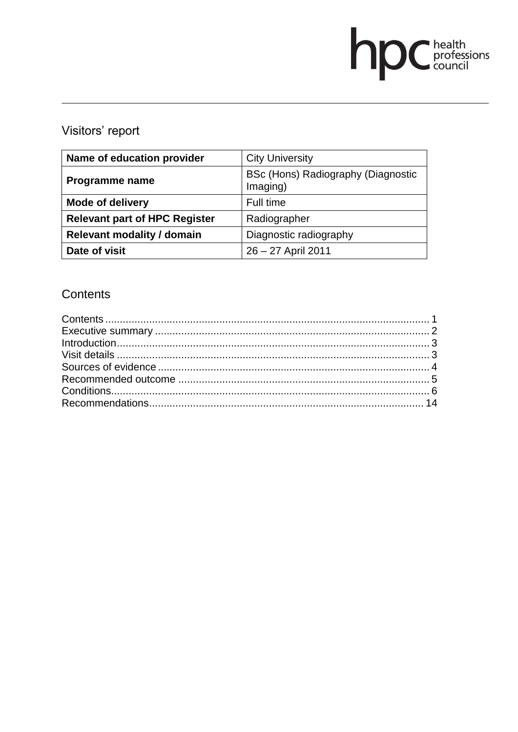# **DC** health<br>council

# Visitors' report

| Name of education provider           | <b>City University</b>                         |
|--------------------------------------|------------------------------------------------|
| Programme name                       | BSc (Hons) Radiography (Diagnostic<br>Imaging) |
| <b>Mode of delivery</b>              | Full time                                      |
| <b>Relevant part of HPC Register</b> | Radiographer                                   |
| <b>Relevant modality / domain</b>    | Diagnostic radiography                         |
| Date of visit                        | 26 - 27 April 2011                             |

# **Contents**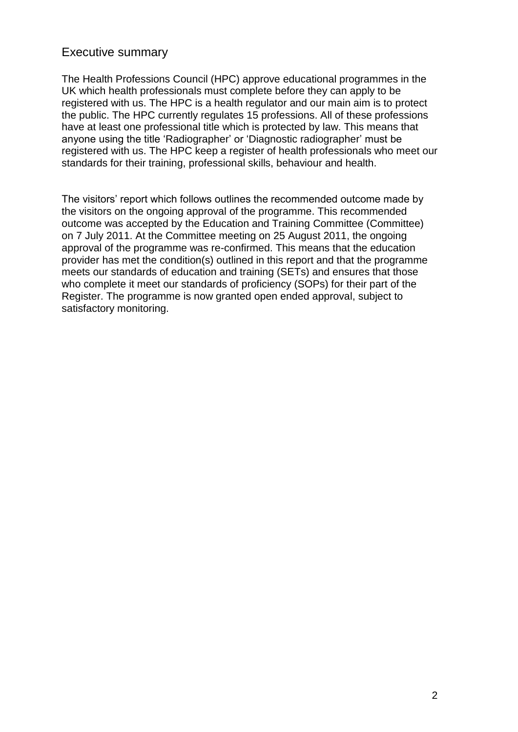## Executive summary

The Health Professions Council (HPC) approve educational programmes in the UK which health professionals must complete before they can apply to be registered with us. The HPC is a health regulator and our main aim is to protect the public. The HPC currently regulates 15 professions. All of these professions have at least one professional title which is protected by law. This means that anyone using the title "Radiographer" or "Diagnostic radiographer" must be registered with us. The HPC keep a register of health professionals who meet our standards for their training, professional skills, behaviour and health.

The visitors' report which follows outlines the recommended outcome made by the visitors on the ongoing approval of the programme. This recommended outcome was accepted by the Education and Training Committee (Committee) on 7 July 2011. At the Committee meeting on 25 August 2011, the ongoing approval of the programme was re-confirmed. This means that the education provider has met the condition(s) outlined in this report and that the programme meets our standards of education and training (SETs) and ensures that those who complete it meet our standards of proficiency (SOPs) for their part of the Register. The programme is now granted open ended approval, subject to satisfactory monitoring.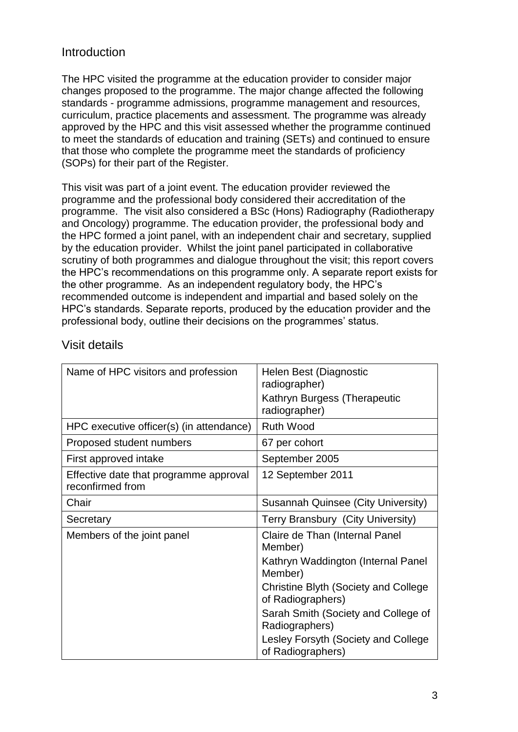## Introduction

The HPC visited the programme at the education provider to consider major changes proposed to the programme. The major change affected the following standards - programme admissions, programme management and resources, curriculum, practice placements and assessment. The programme was already approved by the HPC and this visit assessed whether the programme continued to meet the standards of education and training (SETs) and continued to ensure that those who complete the programme meet the standards of proficiency (SOPs) for their part of the Register.

This visit was part of a joint event. The education provider reviewed the programme and the professional body considered their accreditation of the programme. The visit also considered a BSc (Hons) Radiography (Radiotherapy and Oncology) programme. The education provider, the professional body and the HPC formed a joint panel, with an independent chair and secretary, supplied by the education provider. Whilst the joint panel participated in collaborative scrutiny of both programmes and dialogue throughout the visit; this report covers the HPC"s recommendations on this programme only. A separate report exists for the other programme. As an independent regulatory body, the HPC"s recommended outcome is independent and impartial and based solely on the HPC"s standards. Separate reports, produced by the education provider and the professional body, outline their decisions on the programmes" status.

| Name of HPC visitors and profession                        | Helen Best (Diagnostic<br>radiographer)                   |  |  |
|------------------------------------------------------------|-----------------------------------------------------------|--|--|
|                                                            | Kathryn Burgess (Therapeutic<br>radiographer)             |  |  |
| HPC executive officer(s) (in attendance)                   | <b>Ruth Wood</b>                                          |  |  |
| Proposed student numbers                                   | 67 per cohort                                             |  |  |
| First approved intake                                      | September 2005                                            |  |  |
| Effective date that programme approval<br>reconfirmed from | 12 September 2011                                         |  |  |
| Chair                                                      | Susannah Quinsee (City University)                        |  |  |
|                                                            |                                                           |  |  |
| Secretary                                                  | Terry Bransbury (City University)                         |  |  |
| Members of the joint panel                                 | Claire de Than (Internal Panel<br>Member)                 |  |  |
|                                                            | Kathryn Waddington (Internal Panel<br>Member)             |  |  |
|                                                            | Christine Blyth (Society and College<br>of Radiographers) |  |  |
|                                                            | Sarah Smith (Society and College of<br>Radiographers)     |  |  |

# Visit details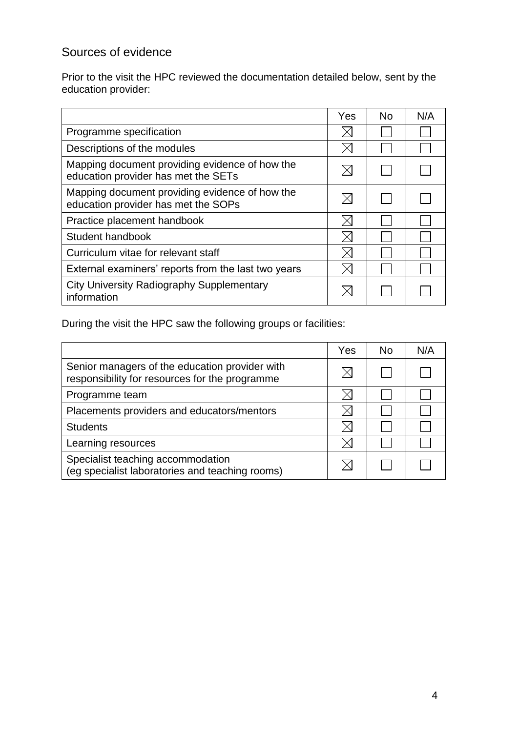# Sources of evidence

Prior to the visit the HPC reviewed the documentation detailed below, sent by the education provider:

|                                                                                       | Yes | <b>No</b> | N/A |
|---------------------------------------------------------------------------------------|-----|-----------|-----|
| Programme specification                                                               |     |           |     |
| Descriptions of the modules                                                           |     |           |     |
| Mapping document providing evidence of how the<br>education provider has met the SETs |     |           |     |
| Mapping document providing evidence of how the<br>education provider has met the SOPs |     |           |     |
| Practice placement handbook                                                           |     |           |     |
| Student handbook                                                                      |     |           |     |
| Curriculum vitae for relevant staff                                                   |     |           |     |
| External examiners' reports from the last two years                                   |     |           |     |
| <b>City University Radiography Supplementary</b><br>information                       |     |           |     |

During the visit the HPC saw the following groups or facilities:

|                                                                                                  | Yes | <b>No</b> | N/A |
|--------------------------------------------------------------------------------------------------|-----|-----------|-----|
| Senior managers of the education provider with<br>responsibility for resources for the programme |     |           |     |
| Programme team                                                                                   |     |           |     |
| Placements providers and educators/mentors                                                       |     |           |     |
| <b>Students</b>                                                                                  |     |           |     |
| Learning resources                                                                               |     |           |     |
| Specialist teaching accommodation<br>(eg specialist laboratories and teaching rooms)             |     |           |     |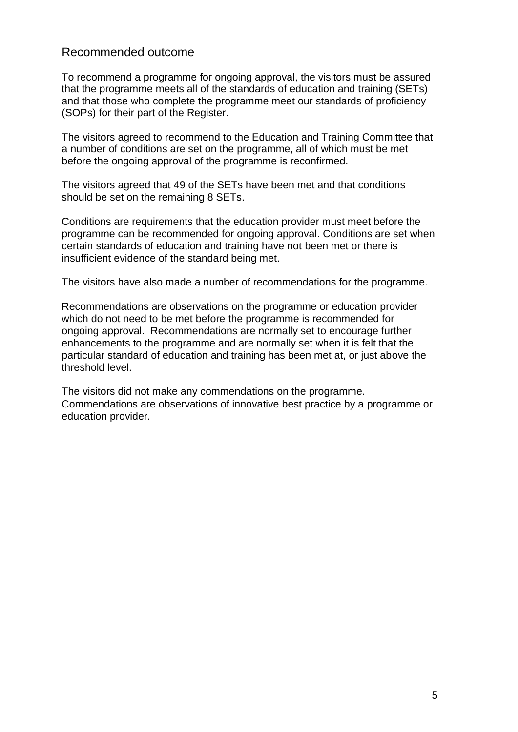#### Recommended outcome

To recommend a programme for ongoing approval, the visitors must be assured that the programme meets all of the standards of education and training (SETs) and that those who complete the programme meet our standards of proficiency (SOPs) for their part of the Register.

The visitors agreed to recommend to the Education and Training Committee that a number of conditions are set on the programme, all of which must be met before the ongoing approval of the programme is reconfirmed.

The visitors agreed that 49 of the SETs have been met and that conditions should be set on the remaining 8 SETs.

Conditions are requirements that the education provider must meet before the programme can be recommended for ongoing approval. Conditions are set when certain standards of education and training have not been met or there is insufficient evidence of the standard being met.

The visitors have also made a number of recommendations for the programme.

Recommendations are observations on the programme or education provider which do not need to be met before the programme is recommended for ongoing approval. Recommendations are normally set to encourage further enhancements to the programme and are normally set when it is felt that the particular standard of education and training has been met at, or just above the threshold level.

The visitors did not make any commendations on the programme. Commendations are observations of innovative best practice by a programme or education provider.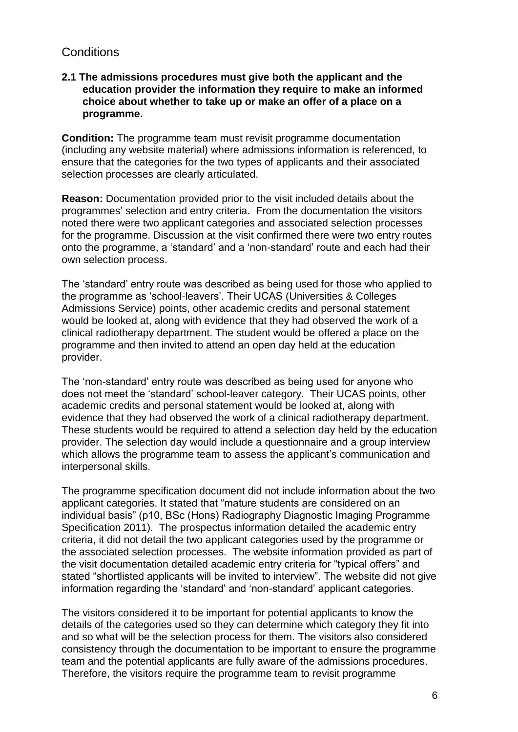# **Conditions**

#### **2.1 The admissions procedures must give both the applicant and the education provider the information they require to make an informed choice about whether to take up or make an offer of a place on a programme.**

**Condition:** The programme team must revisit programme documentation (including any website material) where admissions information is referenced, to ensure that the categories for the two types of applicants and their associated selection processes are clearly articulated.

**Reason:** Documentation provided prior to the visit included details about the programmes" selection and entry criteria. From the documentation the visitors noted there were two applicant categories and associated selection processes for the programme. Discussion at the visit confirmed there were two entry routes onto the programme, a "standard" and a "non-standard" route and each had their own selection process.

The "standard" entry route was described as being used for those who applied to the programme as "school-leavers". Their UCAS (Universities & Colleges Admissions Service) points, other academic credits and personal statement would be looked at, along with evidence that they had observed the work of a clinical radiotherapy department. The student would be offered a place on the programme and then invited to attend an open day held at the education provider.

The "non-standard" entry route was described as being used for anyone who does not meet the "standard" school-leaver category. Their UCAS points, other academic credits and personal statement would be looked at, along with evidence that they had observed the work of a clinical radiotherapy department. These students would be required to attend a selection day held by the education provider. The selection day would include a questionnaire and a group interview which allows the programme team to assess the applicant's communication and interpersonal skills.

The programme specification document did not include information about the two applicant categories. It stated that "mature students are considered on an individual basis" (p10, BSc (Hons) Radiography Diagnostic Imaging Programme Specification 2011). The prospectus information detailed the academic entry criteria, it did not detail the two applicant categories used by the programme or the associated selection processes. The website information provided as part of the visit documentation detailed academic entry criteria for "typical offers" and stated "shortlisted applicants will be invited to interview". The website did not give information regarding the "standard" and "non-standard" applicant categories.

The visitors considered it to be important for potential applicants to know the details of the categories used so they can determine which category they fit into and so what will be the selection process for them. The visitors also considered consistency through the documentation to be important to ensure the programme team and the potential applicants are fully aware of the admissions procedures. Therefore, the visitors require the programme team to revisit programme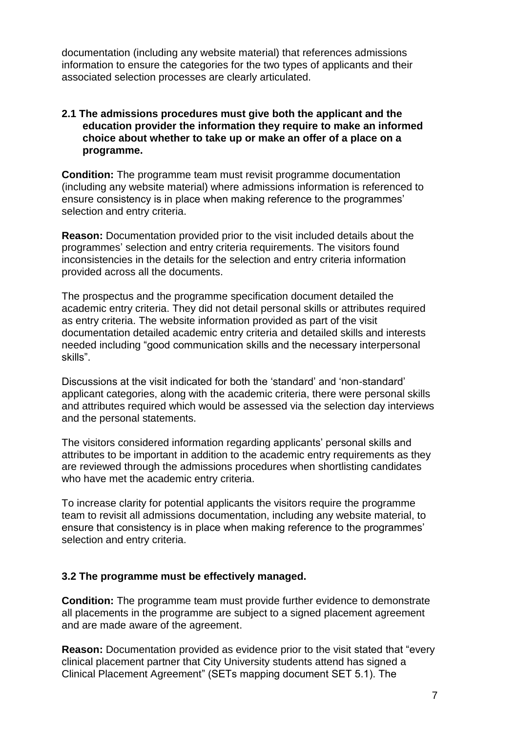documentation (including any website material) that references admissions information to ensure the categories for the two types of applicants and their associated selection processes are clearly articulated.

#### **2.1 The admissions procedures must give both the applicant and the education provider the information they require to make an informed choice about whether to take up or make an offer of a place on a programme.**

**Condition:** The programme team must revisit programme documentation (including any website material) where admissions information is referenced to ensure consistency is in place when making reference to the programmes' selection and entry criteria.

**Reason:** Documentation provided prior to the visit included details about the programmes" selection and entry criteria requirements. The visitors found inconsistencies in the details for the selection and entry criteria information provided across all the documents.

The prospectus and the programme specification document detailed the academic entry criteria. They did not detail personal skills or attributes required as entry criteria. The website information provided as part of the visit documentation detailed academic entry criteria and detailed skills and interests needed including "good communication skills and the necessary interpersonal skills".

Discussions at the visit indicated for both the "standard" and "non-standard" applicant categories, along with the academic criteria, there were personal skills and attributes required which would be assessed via the selection day interviews and the personal statements.

The visitors considered information regarding applicants" personal skills and attributes to be important in addition to the academic entry requirements as they are reviewed through the admissions procedures when shortlisting candidates who have met the academic entry criteria.

To increase clarity for potential applicants the visitors require the programme team to revisit all admissions documentation, including any website material, to ensure that consistency is in place when making reference to the programmes' selection and entry criteria.

#### **3.2 The programme must be effectively managed.**

**Condition:** The programme team must provide further evidence to demonstrate all placements in the programme are subject to a signed placement agreement and are made aware of the agreement.

**Reason:** Documentation provided as evidence prior to the visit stated that "every clinical placement partner that City University students attend has signed a Clinical Placement Agreement" (SETs mapping document SET 5.1). The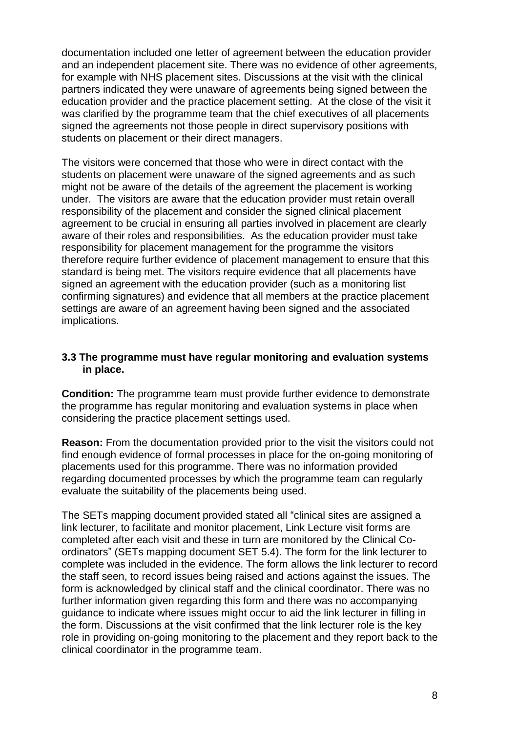documentation included one letter of agreement between the education provider and an independent placement site. There was no evidence of other agreements, for example with NHS placement sites. Discussions at the visit with the clinical partners indicated they were unaware of agreements being signed between the education provider and the practice placement setting. At the close of the visit it was clarified by the programme team that the chief executives of all placements signed the agreements not those people in direct supervisory positions with students on placement or their direct managers.

The visitors were concerned that those who were in direct contact with the students on placement were unaware of the signed agreements and as such might not be aware of the details of the agreement the placement is working under. The visitors are aware that the education provider must retain overall responsibility of the placement and consider the signed clinical placement agreement to be crucial in ensuring all parties involved in placement are clearly aware of their roles and responsibilities. As the education provider must take responsibility for placement management for the programme the visitors therefore require further evidence of placement management to ensure that this standard is being met. The visitors require evidence that all placements have signed an agreement with the education provider (such as a monitoring list confirming signatures) and evidence that all members at the practice placement settings are aware of an agreement having been signed and the associated implications.

#### **3.3 The programme must have regular monitoring and evaluation systems in place.**

**Condition:** The programme team must provide further evidence to demonstrate the programme has regular monitoring and evaluation systems in place when considering the practice placement settings used.

**Reason:** From the documentation provided prior to the visit the visitors could not find enough evidence of formal processes in place for the on-going monitoring of placements used for this programme. There was no information provided regarding documented processes by which the programme team can regularly evaluate the suitability of the placements being used.

The SETs mapping document provided stated all "clinical sites are assigned a link lecturer, to facilitate and monitor placement, Link Lecture visit forms are completed after each visit and these in turn are monitored by the Clinical Coordinators" (SETs mapping document SET 5.4). The form for the link lecturer to complete was included in the evidence. The form allows the link lecturer to record the staff seen, to record issues being raised and actions against the issues. The form is acknowledged by clinical staff and the clinical coordinator. There was no further information given regarding this form and there was no accompanying guidance to indicate where issues might occur to aid the link lecturer in filling in the form. Discussions at the visit confirmed that the link lecturer role is the key role in providing on-going monitoring to the placement and they report back to the clinical coordinator in the programme team.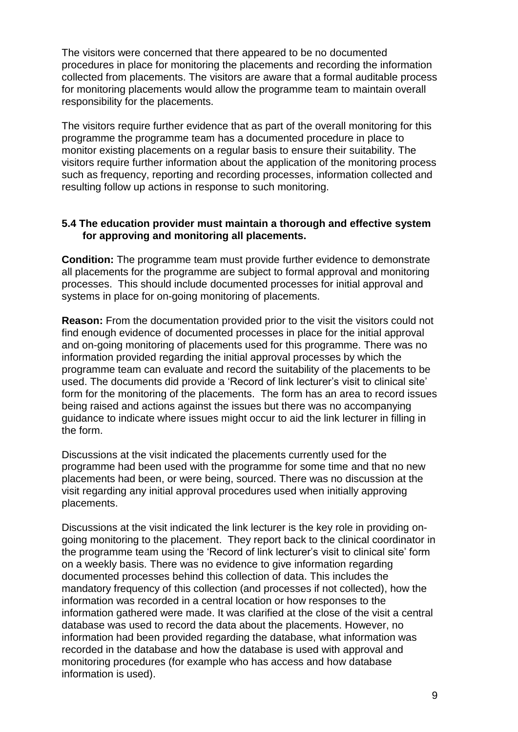The visitors were concerned that there appeared to be no documented procedures in place for monitoring the placements and recording the information collected from placements. The visitors are aware that a formal auditable process for monitoring placements would allow the programme team to maintain overall responsibility for the placements.

The visitors require further evidence that as part of the overall monitoring for this programme the programme team has a documented procedure in place to monitor existing placements on a regular basis to ensure their suitability. The visitors require further information about the application of the monitoring process such as frequency, reporting and recording processes, information collected and resulting follow up actions in response to such monitoring.

#### **5.4 The education provider must maintain a thorough and effective system for approving and monitoring all placements.**

**Condition:** The programme team must provide further evidence to demonstrate all placements for the programme are subject to formal approval and monitoring processes. This should include documented processes for initial approval and systems in place for on-going monitoring of placements.

**Reason:** From the documentation provided prior to the visit the visitors could not find enough evidence of documented processes in place for the initial approval and on-going monitoring of placements used for this programme. There was no information provided regarding the initial approval processes by which the programme team can evaluate and record the suitability of the placements to be used. The documents did provide a "Record of link lecturer"s visit to clinical site" form for the monitoring of the placements. The form has an area to record issues being raised and actions against the issues but there was no accompanying guidance to indicate where issues might occur to aid the link lecturer in filling in the form.

Discussions at the visit indicated the placements currently used for the programme had been used with the programme for some time and that no new placements had been, or were being, sourced. There was no discussion at the visit regarding any initial approval procedures used when initially approving placements.

Discussions at the visit indicated the link lecturer is the key role in providing ongoing monitoring to the placement. They report back to the clinical coordinator in the programme team using the "Record of link lecturer"s visit to clinical site" form on a weekly basis. There was no evidence to give information regarding documented processes behind this collection of data. This includes the mandatory frequency of this collection (and processes if not collected), how the information was recorded in a central location or how responses to the information gathered were made. It was clarified at the close of the visit a central database was used to record the data about the placements. However, no information had been provided regarding the database, what information was recorded in the database and how the database is used with approval and monitoring procedures (for example who has access and how database information is used).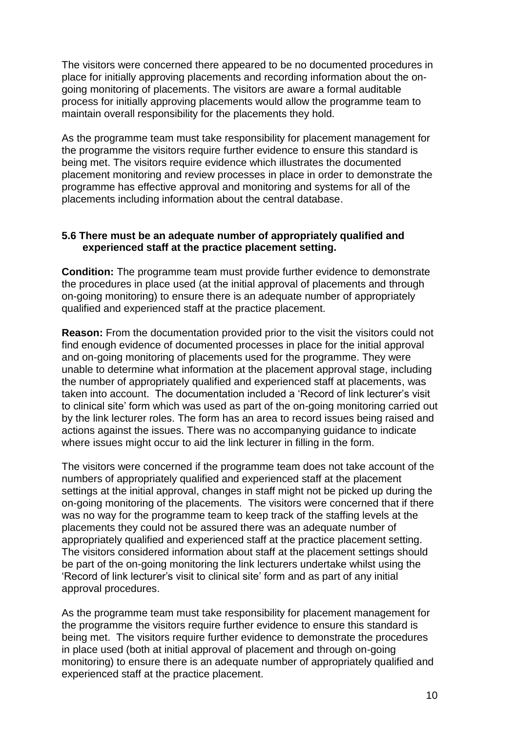The visitors were concerned there appeared to be no documented procedures in place for initially approving placements and recording information about the ongoing monitoring of placements. The visitors are aware a formal auditable process for initially approving placements would allow the programme team to maintain overall responsibility for the placements they hold.

As the programme team must take responsibility for placement management for the programme the visitors require further evidence to ensure this standard is being met. The visitors require evidence which illustrates the documented placement monitoring and review processes in place in order to demonstrate the programme has effective approval and monitoring and systems for all of the placements including information about the central database.

#### **5.6 There must be an adequate number of appropriately qualified and experienced staff at the practice placement setting.**

**Condition:** The programme team must provide further evidence to demonstrate the procedures in place used (at the initial approval of placements and through on-going monitoring) to ensure there is an adequate number of appropriately qualified and experienced staff at the practice placement.

**Reason:** From the documentation provided prior to the visit the visitors could not find enough evidence of documented processes in place for the initial approval and on-going monitoring of placements used for the programme. They were unable to determine what information at the placement approval stage, including the number of appropriately qualified and experienced staff at placements, was taken into account. The documentation included a "Record of link lecturer"s visit to clinical site" form which was used as part of the on-going monitoring carried out by the link lecturer roles. The form has an area to record issues being raised and actions against the issues. There was no accompanying guidance to indicate where issues might occur to aid the link lecturer in filling in the form.

The visitors were concerned if the programme team does not take account of the numbers of appropriately qualified and experienced staff at the placement settings at the initial approval, changes in staff might not be picked up during the on-going monitoring of the placements. The visitors were concerned that if there was no way for the programme team to keep track of the staffing levels at the placements they could not be assured there was an adequate number of appropriately qualified and experienced staff at the practice placement setting. The visitors considered information about staff at the placement settings should be part of the on-going monitoring the link lecturers undertake whilst using the "Record of link lecturer"s visit to clinical site" form and as part of any initial approval procedures.

As the programme team must take responsibility for placement management for the programme the visitors require further evidence to ensure this standard is being met. The visitors require further evidence to demonstrate the procedures in place used (both at initial approval of placement and through on-going monitoring) to ensure there is an adequate number of appropriately qualified and experienced staff at the practice placement.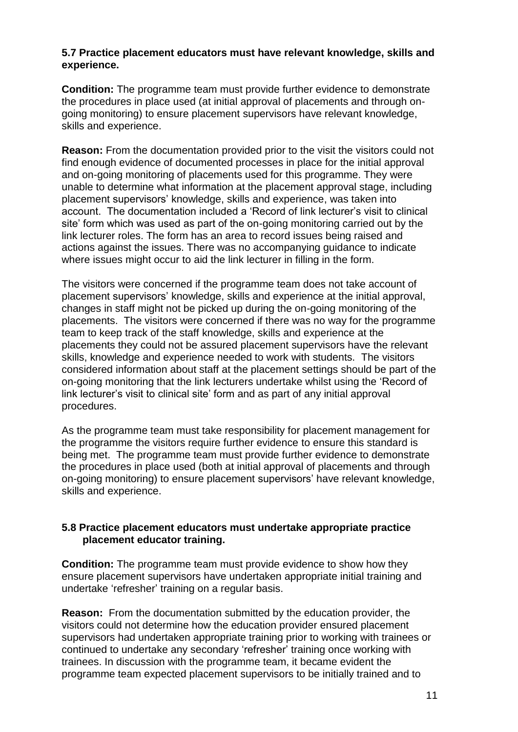#### **5.7 Practice placement educators must have relevant knowledge, skills and experience.**

**Condition:** The programme team must provide further evidence to demonstrate the procedures in place used (at initial approval of placements and through ongoing monitoring) to ensure placement supervisors have relevant knowledge, skills and experience.

**Reason:** From the documentation provided prior to the visit the visitors could not find enough evidence of documented processes in place for the initial approval and on-going monitoring of placements used for this programme. They were unable to determine what information at the placement approval stage, including placement supervisors" knowledge, skills and experience, was taken into account. The documentation included a "Record of link lecturer"s visit to clinical site' form which was used as part of the on-going monitoring carried out by the link lecturer roles. The form has an area to record issues being raised and actions against the issues. There was no accompanying guidance to indicate where issues might occur to aid the link lecturer in filling in the form.

The visitors were concerned if the programme team does not take account of placement supervisors" knowledge, skills and experience at the initial approval, changes in staff might not be picked up during the on-going monitoring of the placements. The visitors were concerned if there was no way for the programme team to keep track of the staff knowledge, skills and experience at the placements they could not be assured placement supervisors have the relevant skills, knowledge and experience needed to work with students. The visitors considered information about staff at the placement settings should be part of the on-going monitoring that the link lecturers undertake whilst using the "Record of link lecturer"s visit to clinical site" form and as part of any initial approval procedures.

As the programme team must take responsibility for placement management for the programme the visitors require further evidence to ensure this standard is being met. The programme team must provide further evidence to demonstrate the procedures in place used (both at initial approval of placements and through on-going monitoring) to ensure placement supervisors" have relevant knowledge, skills and experience.

#### **5.8 Practice placement educators must undertake appropriate practice placement educator training.**

**Condition:** The programme team must provide evidence to show how they ensure placement supervisors have undertaken appropriate initial training and undertake "refresher" training on a regular basis.

**Reason:** From the documentation submitted by the education provider, the visitors could not determine how the education provider ensured placement supervisors had undertaken appropriate training prior to working with trainees or continued to undertake any secondary "refresher" training once working with trainees. In discussion with the programme team, it became evident the programme team expected placement supervisors to be initially trained and to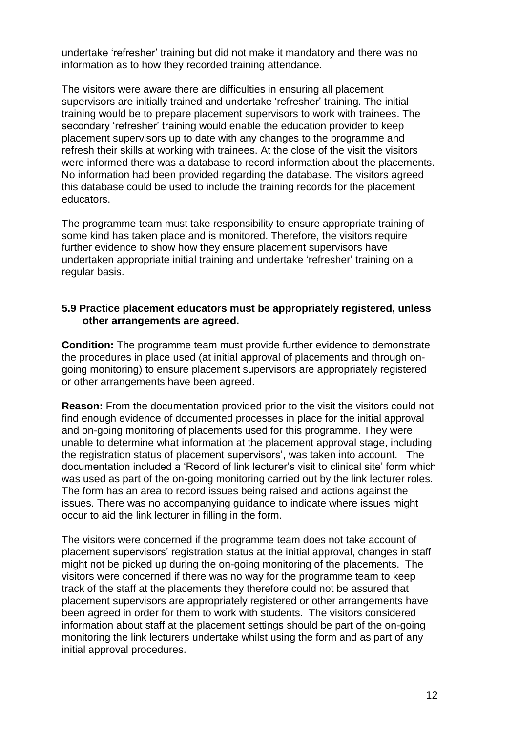undertake "refresher" training but did not make it mandatory and there was no information as to how they recorded training attendance.

The visitors were aware there are difficulties in ensuring all placement supervisors are initially trained and undertake "refresher" training. The initial training would be to prepare placement supervisors to work with trainees. The secondary 'refresher' training would enable the education provider to keep placement supervisors up to date with any changes to the programme and refresh their skills at working with trainees. At the close of the visit the visitors were informed there was a database to record information about the placements. No information had been provided regarding the database. The visitors agreed this database could be used to include the training records for the placement educators.

The programme team must take responsibility to ensure appropriate training of some kind has taken place and is monitored. Therefore, the visitors require further evidence to show how they ensure placement supervisors have undertaken appropriate initial training and undertake "refresher" training on a regular basis.

#### **5.9 Practice placement educators must be appropriately registered, unless other arrangements are agreed.**

**Condition:** The programme team must provide further evidence to demonstrate the procedures in place used (at initial approval of placements and through ongoing monitoring) to ensure placement supervisors are appropriately registered or other arrangements have been agreed.

**Reason:** From the documentation provided prior to the visit the visitors could not find enough evidence of documented processes in place for the initial approval and on-going monitoring of placements used for this programme. They were unable to determine what information at the placement approval stage, including the registration status of placement supervisors", was taken into account. The documentation included a "Record of link lecturer"s visit to clinical site" form which was used as part of the on-going monitoring carried out by the link lecturer roles. The form has an area to record issues being raised and actions against the issues. There was no accompanying guidance to indicate where issues might occur to aid the link lecturer in filling in the form.

The visitors were concerned if the programme team does not take account of placement supervisors" registration status at the initial approval, changes in staff might not be picked up during the on-going monitoring of the placements. The visitors were concerned if there was no way for the programme team to keep track of the staff at the placements they therefore could not be assured that placement supervisors are appropriately registered or other arrangements have been agreed in order for them to work with students. The visitors considered information about staff at the placement settings should be part of the on-going monitoring the link lecturers undertake whilst using the form and as part of any initial approval procedures.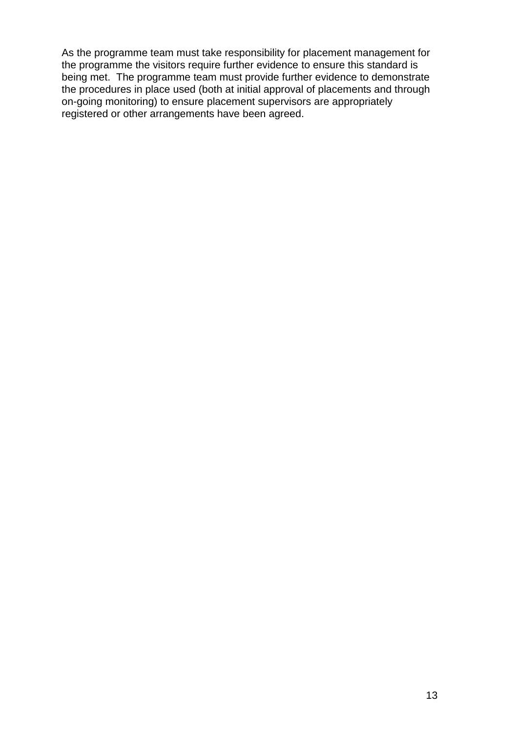As the programme team must take responsibility for placement management for the programme the visitors require further evidence to ensure this standard is being met. The programme team must provide further evidence to demonstrate the procedures in place used (both at initial approval of placements and through on-going monitoring) to ensure placement supervisors are appropriately registered or other arrangements have been agreed.